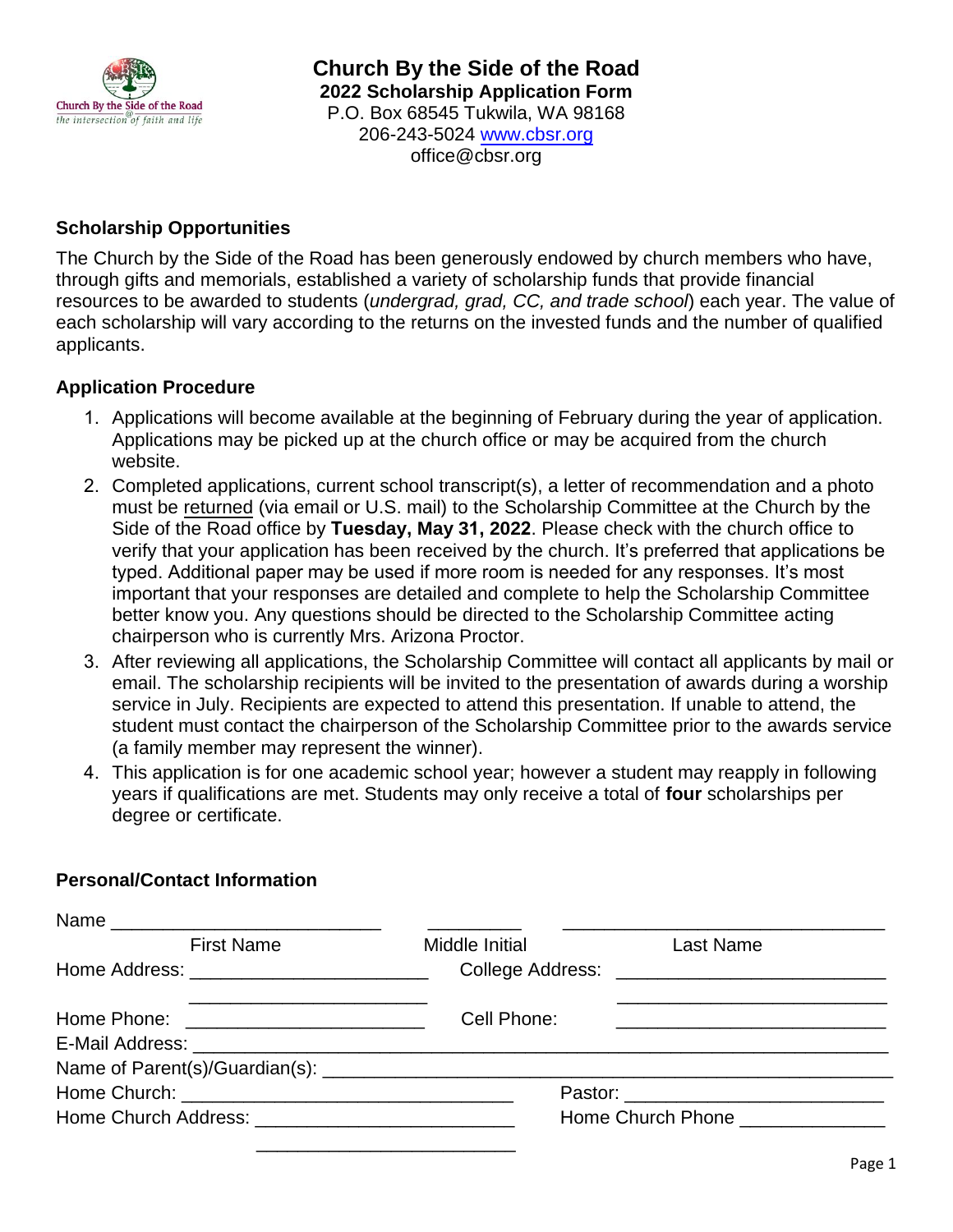

**Church By the Side of the Road 2022 Scholarship Application Form** P.O. Box 68545 Tukwila, WA 98168 206-243-5024 [www.cbsr.org](http://www.cbsr.org/) office@cbsr.org

### **Scholarship Opportunities**

The Church by the Side of the Road has been generously endowed by church members who have, through gifts and memorials, established a variety of scholarship funds that provide financial resources to be awarded to students (*undergrad, grad, CC, and trade school*) each year. The value of each scholarship will vary according to the returns on the invested funds and the number of qualified applicants.

#### **Application Procedure**

- 1. Applications will become available at the beginning of February during the year of application. Applications may be picked up at the church office or may be acquired from the church website.
- 2. Completed applications, current school transcript(s), a letter of recommendation and a photo must be returned (via email or U.S. mail) to the Scholarship Committee at the Church by the Side of the Road office by **Tuesday, May 31, 2022**. Please check with the church office to verify that your application has been received by the church. It's preferred that applications be typed. Additional paper may be used if more room is needed for any responses. It's most important that your responses are detailed and complete to help the Scholarship Committee better know you. Any questions should be directed to the Scholarship Committee acting chairperson who is currently Mrs. Arizona Proctor.
- 3. After reviewing all applications, the Scholarship Committee will contact all applicants by mail or email. The scholarship recipients will be invited to the presentation of awards during a worship service in July. Recipients are expected to attend this presentation. If unable to attend, the student must contact the chairperson of the Scholarship Committee prior to the awards service (a family member may represent the winner).
- 4. This application is for one academic school year; however a student may reapply in following years if qualifications are met. Students may only receive a total of **four** scholarships per degree or certificate.

### **Personal/Contact Information**

| <b>First Name</b> | Middle Initial <b>Middle</b>     | Last Name                                              |
|-------------------|----------------------------------|--------------------------------------------------------|
|                   |                                  |                                                        |
|                   | Cell Phone:                      | <u> 1980 - Jan Barnett, fransk politiker (d. 1980)</u> |
|                   |                                  |                                                        |
|                   |                                  |                                                        |
|                   |                                  |                                                        |
|                   | Home Church Phone ______________ |                                                        |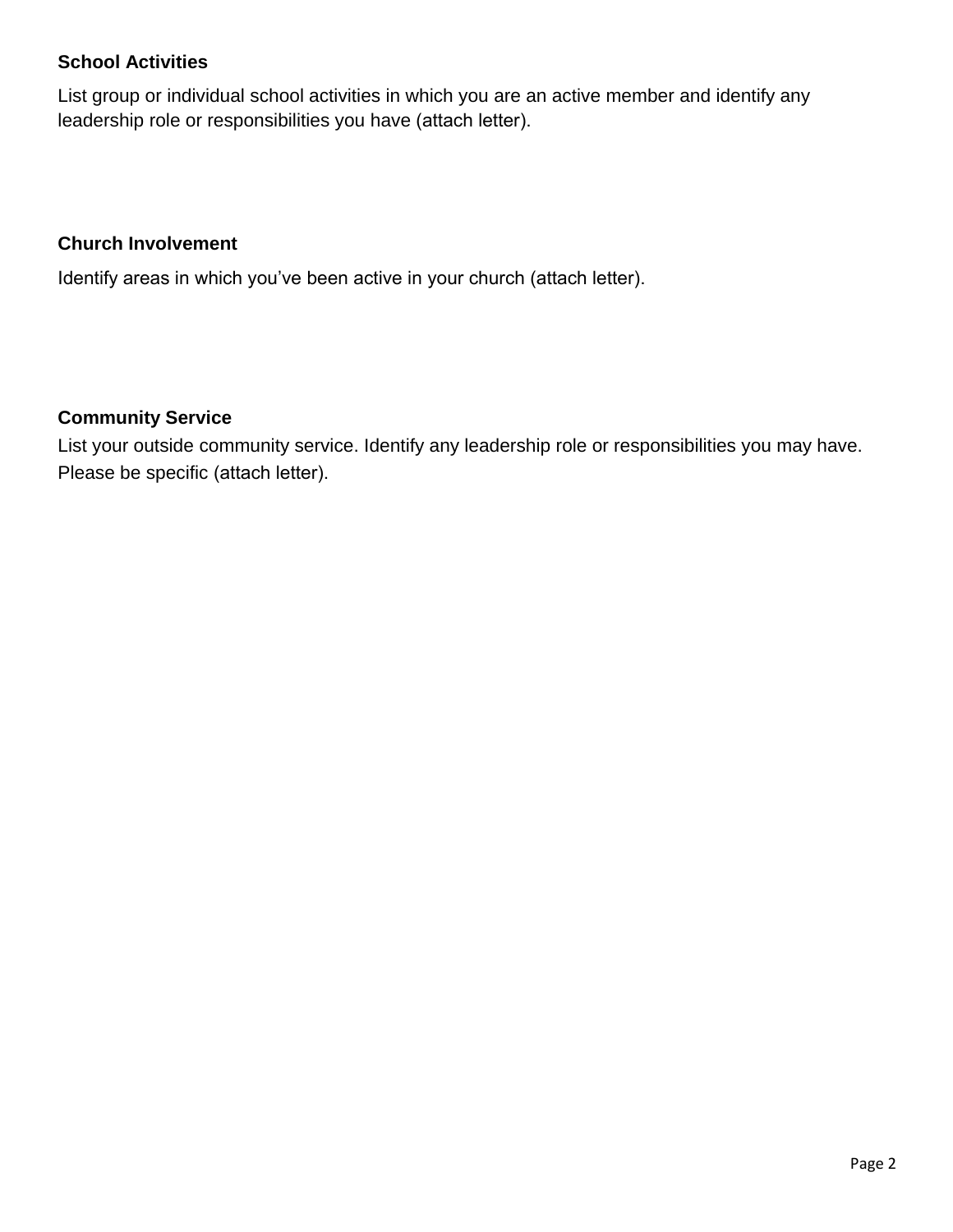# **School Activities**

List group or individual school activities in which you are an active member and identify any leadership role or responsibilities you have (attach letter).

### **Church Involvement**

Identify areas in which you've been active in your church (attach letter).

## **Community Service**

List your outside community service. Identify any leadership role or responsibilities you may have. Please be specific (attach letter).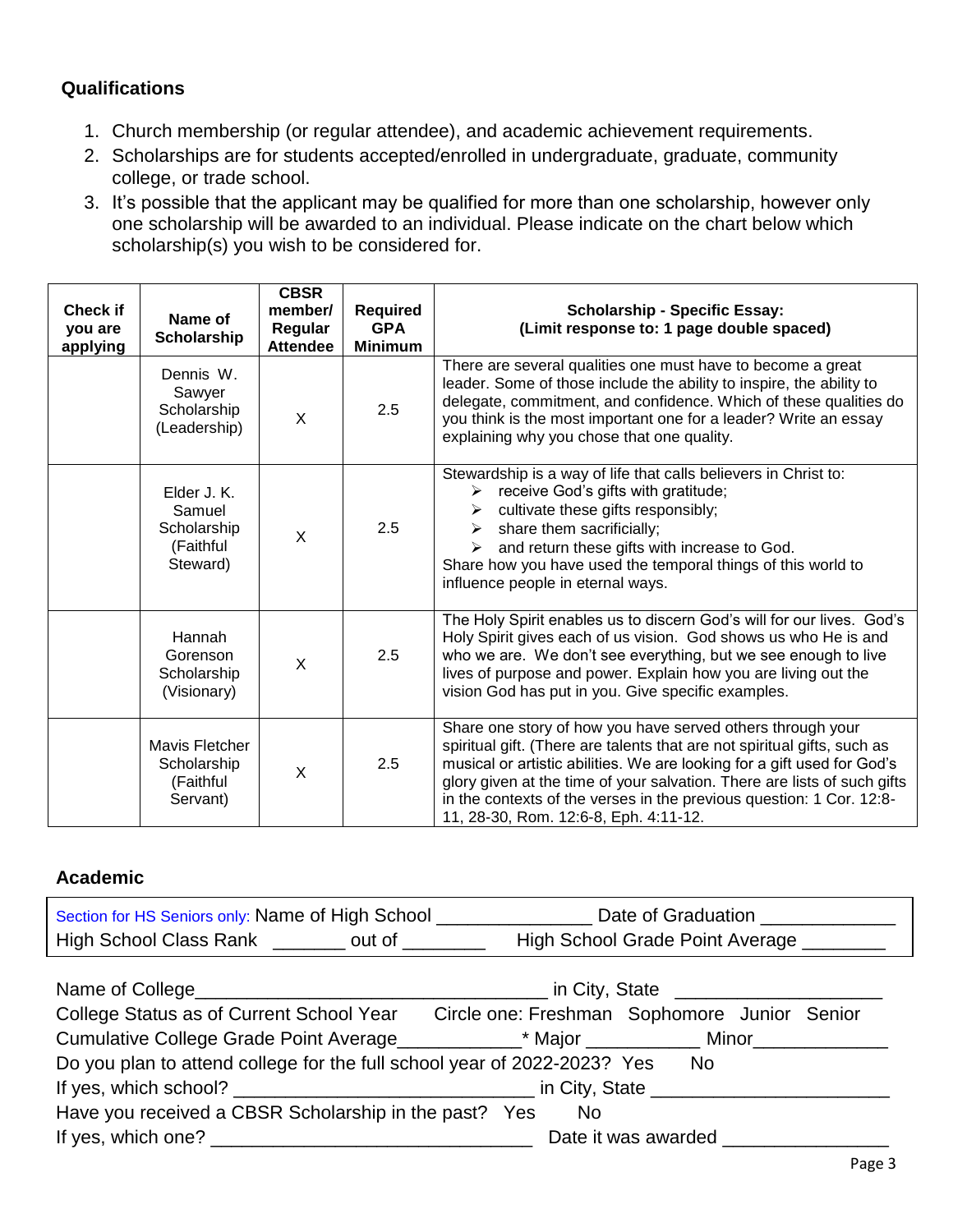# **Qualifications**

- 1. Church membership (or regular attendee), and academic achievement requirements.
- 2. Scholarships are for students accepted/enrolled in undergraduate, graduate, community college, or trade school.
- 3. It's possible that the applicant may be qualified for more than one scholarship, however only one scholarship will be awarded to an individual. Please indicate on the chart below which scholarship(s) you wish to be considered for.

| <b>Check if</b><br>you are<br>applying | Name of<br>Scholarship                                        | <b>CBSR</b><br>member/<br>Regular<br><b>Attendee</b> | Required<br><b>GPA</b><br><b>Minimum</b> | <b>Scholarship - Specific Essay:</b><br>(Limit response to: 1 page double spaced)                                                                                                                                                                                                                                                                                                                              |
|----------------------------------------|---------------------------------------------------------------|------------------------------------------------------|------------------------------------------|----------------------------------------------------------------------------------------------------------------------------------------------------------------------------------------------------------------------------------------------------------------------------------------------------------------------------------------------------------------------------------------------------------------|
|                                        | Dennis W.<br>Sawyer<br>Scholarship<br>(Leadership)            | X                                                    | 2.5                                      | There are several qualities one must have to become a great<br>leader. Some of those include the ability to inspire, the ability to<br>delegate, commitment, and confidence. Which of these qualities do<br>you think is the most important one for a leader? Write an essay<br>explaining why you chose that one quality.                                                                                     |
|                                        | Elder J. K.<br>Samuel<br>Scholarship<br>(Faithful<br>Steward) | $\sf X$                                              | 2.5                                      | Stewardship is a way of life that calls believers in Christ to:<br>receive God's gifts with gratitude;<br>➤<br>cultivate these gifts responsibly;<br>➤<br>share them sacrificially;<br>$\blacktriangleright$<br>and return these gifts with increase to God.<br>≻<br>Share how you have used the temporal things of this world to<br>influence people in eternal ways.                                         |
|                                        | Hannah<br>Gorenson<br>Scholarship<br>(Visionary)              | X                                                    | 2.5                                      | The Holy Spirit enables us to discern God's will for our lives. God's<br>Holy Spirit gives each of us vision. God shows us who He is and<br>who we are. We don't see everything, but we see enough to live<br>lives of purpose and power. Explain how you are living out the<br>vision God has put in you. Give specific examples.                                                                             |
|                                        | Mavis Fletcher<br>Scholarship<br>(Faithful<br>Servant)        | $\sf X$                                              | 2.5                                      | Share one story of how you have served others through your<br>spiritual gift. (There are talents that are not spiritual gifts, such as<br>musical or artistic abilities. We are looking for a gift used for God's<br>glory given at the time of your salvation. There are lists of such gifts<br>in the contexts of the verses in the previous question: 1 Cor. 12:8-<br>11, 28-30, Rom. 12:6-8, Eph. 4:11-12. |

# **Academic**

| Section for HS Seniors only: Name of High School |        | Date of Graduation              |
|--------------------------------------------------|--------|---------------------------------|
| <b>High School Class Rank</b>                    | out of | High School Grade Point Average |

|                                                                                         | <u>n City, State</u>                         |
|-----------------------------------------------------------------------------------------|----------------------------------------------|
| College Status as of Current School Year                                                | Circle one: Freshman Sophomore Junior Senior |
| Cumulative College Grade Point Average____________* Major ____________ Minor___________ |                                              |
| Do you plan to attend college for the full school year of 2022-2023? Yes                | No.                                          |
|                                                                                         |                                              |
| Have you received a CBSR Scholarship in the past? Yes                                   | No                                           |
|                                                                                         |                                              |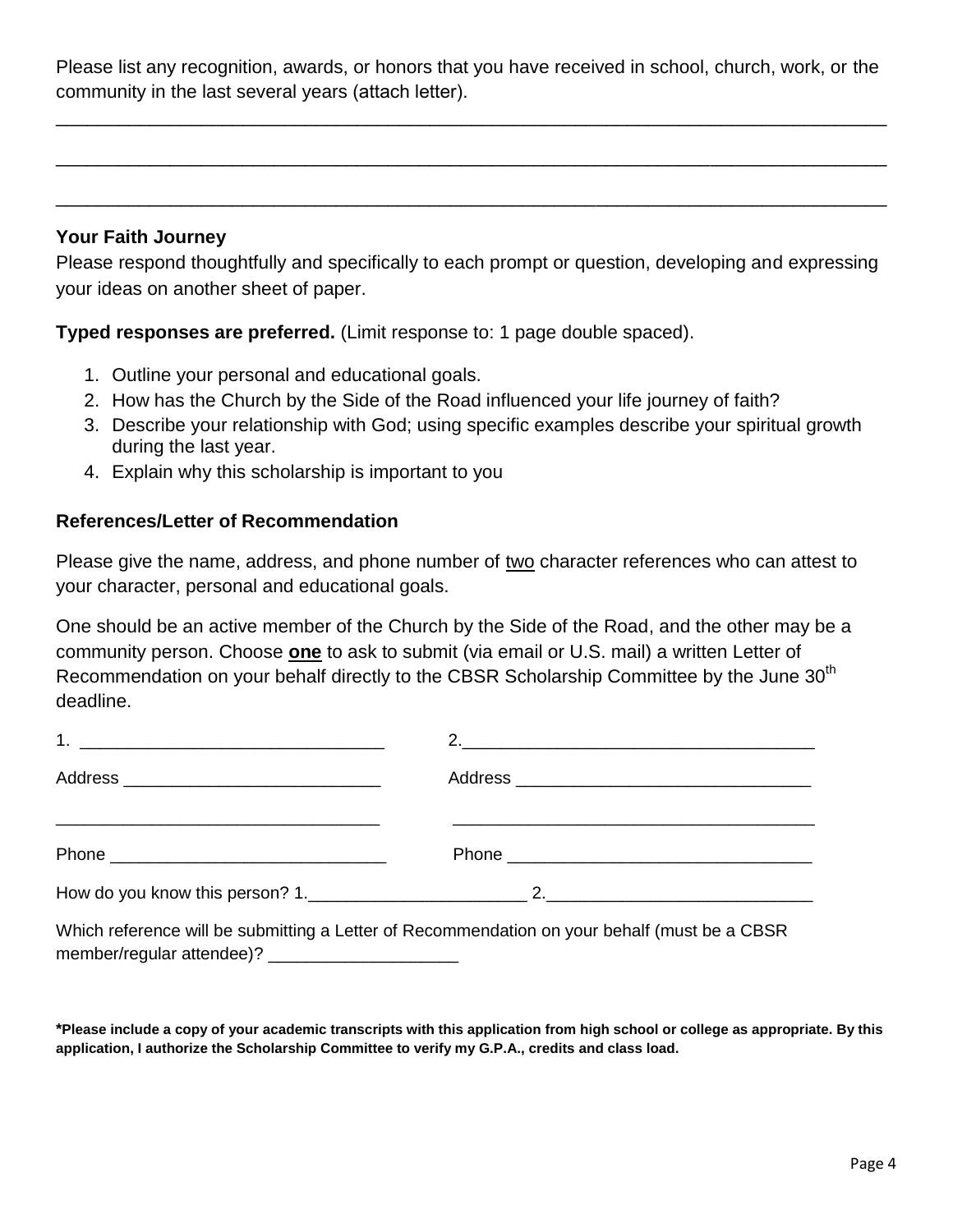Please list any recognition, awards, or honors that you have received in school, church, work, or the community in the last several years (attach letter).

\_\_\_\_\_\_\_\_\_\_\_\_\_\_\_\_\_\_\_\_\_\_\_\_\_\_\_\_\_\_\_\_\_\_\_\_\_\_\_\_\_\_\_\_\_\_\_\_\_\_\_\_\_\_\_\_\_\_\_\_\_\_\_\_\_\_\_\_\_\_\_\_\_\_\_\_\_\_\_\_

\_\_\_\_\_\_\_\_\_\_\_\_\_\_\_\_\_\_\_\_\_\_\_\_\_\_\_\_\_\_\_\_\_\_\_\_\_\_\_\_\_\_\_\_\_\_\_\_\_\_\_\_\_\_\_\_\_\_\_\_\_\_\_\_\_\_\_\_\_\_\_\_\_\_\_\_\_\_\_\_

\_\_\_\_\_\_\_\_\_\_\_\_\_\_\_\_\_\_\_\_\_\_\_\_\_\_\_\_\_\_\_\_\_\_\_\_\_\_\_\_\_\_\_\_\_\_\_\_\_\_\_\_\_\_\_\_\_\_\_\_\_\_\_\_\_\_\_\_\_\_\_\_\_\_\_\_\_\_\_\_

#### **Your Faith Journey**

Please respond thoughtfully and specifically to each prompt or question, developing and expressing your ideas on another sheet of paper.

**Typed responses are preferred.** (Limit response to: 1 page double spaced).

- 1. Outline your personal and educational goals.
- 2. How has the Church by the Side of the Road influenced your life journey of faith?
- 3. Describe your relationship with God; using specific examples describe your spiritual growth during the last year.
- 4. Explain why this scholarship is important to you

### **References/Letter of Recommendation**

Please give the name, address, and phone number of two character references who can attest to your character, personal and educational goals.

One should be an active member of the Church by the Side of the Road, and the other may be a community person. Choose **one** to ask to submit (via email or U.S. mail) a written Letter of Recommendation on your behalf directly to the CBSR Scholarship Committee by the June 30<sup>th</sup> deadline.

| 2. $\overline{\phantom{a}1}$ |
|------------------------------|
|                              |
|                              |
|                              |
|                              |

Which reference will be submitting a Letter of Recommendation on your behalf (must be a CBSR member/regular attendee)? \_\_\_\_\_\_\_\_\_\_\_\_\_\_\_\_\_\_\_\_

**\*Please include a copy of your academic transcripts with this application from high school or college as appropriate. By this application, I authorize the Scholarship Committee to verify my G.P.A., credits and class load.**